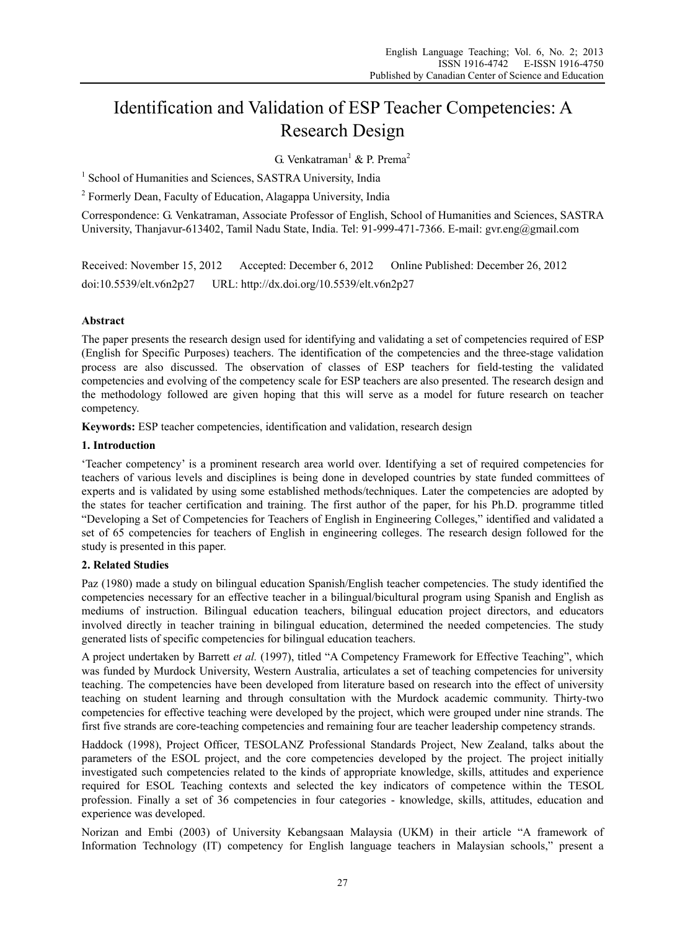# Identification and Validation of ESP Teacher Competencies: A Research Design

G. Venkatraman<sup>1</sup> & P. Prema<sup>2</sup>

<sup>1</sup> School of Humanities and Sciences, SASTRA University, India

<sup>2</sup> Formerly Dean, Faculty of Education, Alagappa University, India

Correspondence: G. Venkatraman, Associate Professor of English, School of Humanities and Sciences, SASTRA University, Thanjavur-613402, Tamil Nadu State, India. Tel: 91-999-471-7366. E-mail: gvr.eng@gmail.com

Received: November 15, 2012 Accepted: December 6, 2012 Online Published: December 26, 2012 doi:10.5539/elt.v6n2p27 URL: http://dx.doi.org/10.5539/elt.v6n2p27

# **Abstract**

The paper presents the research design used for identifying and validating a set of competencies required of ESP (English for Specific Purposes) teachers. The identification of the competencies and the three-stage validation process are also discussed. The observation of classes of ESP teachers for field-testing the validated competencies and evolving of the competency scale for ESP teachers are also presented. The research design and the methodology followed are given hoping that this will serve as a model for future research on teacher competency.

**Keywords:** ESP teacher competencies, identification and validation, research design

#### **1. Introduction**

'Teacher competency' is a prominent research area world over. Identifying a set of required competencies for teachers of various levels and disciplines is being done in developed countries by state funded committees of experts and is validated by using some established methods/techniques. Later the competencies are adopted by the states for teacher certification and training. The first author of the paper, for his Ph.D. programme titled "Developing a Set of Competencies for Teachers of English in Engineering Colleges," identified and validated a set of 65 competencies for teachers of English in engineering colleges. The research design followed for the study is presented in this paper.

# **2. Related Studies**

Paz (1980) made a study on bilingual education Spanish/English teacher competencies. The study identified the competencies necessary for an effective teacher in a bilingual/bicultural program using Spanish and English as mediums of instruction. Bilingual education teachers, bilingual education project directors, and educators involved directly in teacher training in bilingual education, determined the needed competencies. The study generated lists of specific competencies for bilingual education teachers.

A project undertaken by Barrett *et al.* (1997), titled "A Competency Framework for Effective Teaching", which was funded by Murdock University, Western Australia, articulates a set of teaching competencies for university teaching. The competencies have been developed from literature based on research into the effect of university teaching on student learning and through consultation with the Murdock academic community. Thirty-two competencies for effective teaching were developed by the project, which were grouped under nine strands. The first five strands are core-teaching competencies and remaining four are teacher leadership competency strands.

Haddock (1998), Project Officer, TESOLANZ Professional Standards Project, New Zealand, talks about the parameters of the ESOL project, and the core competencies developed by the project. The project initially investigated such competencies related to the kinds of appropriate knowledge, skills, attitudes and experience required for ESOL Teaching contexts and selected the key indicators of competence within the TESOL profession. Finally a set of 36 competencies in four categories - knowledge, skills, attitudes, education and experience was developed.

Norizan and Embi (2003) of University Kebangsaan Malaysia (UKM) in their article "A framework of Information Technology (IT) competency for English language teachers in Malaysian schools," present a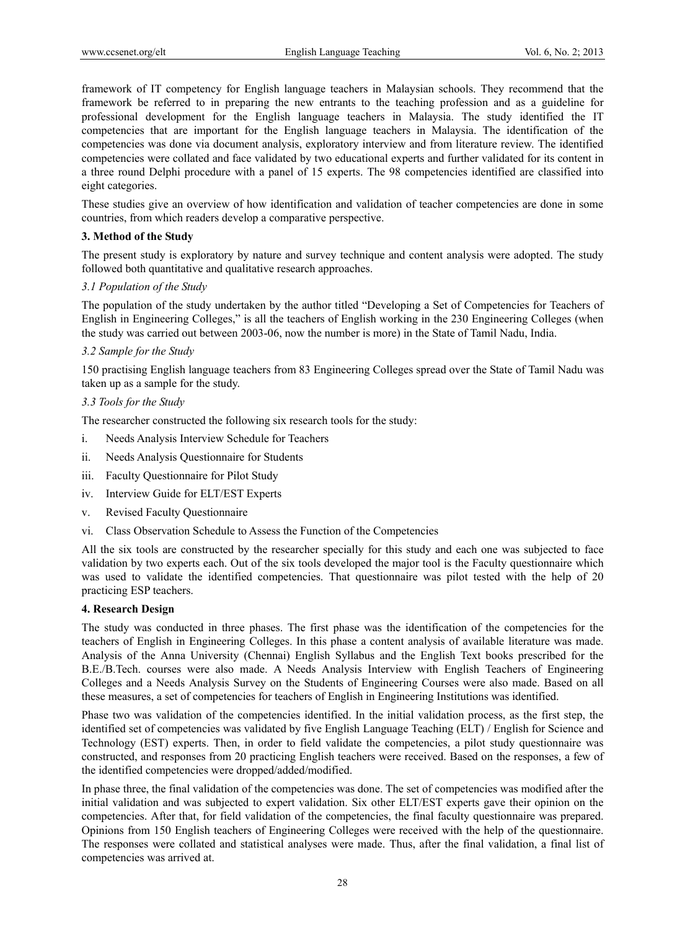framework of IT competency for English language teachers in Malaysian schools. They recommend that the framework be referred to in preparing the new entrants to the teaching profession and as a guideline for professional development for the English language teachers in Malaysia. The study identified the IT competencies that are important for the English language teachers in Malaysia. The identification of the competencies was done via document analysis, exploratory interview and from literature review. The identified competencies were collated and face validated by two educational experts and further validated for its content in a three round Delphi procedure with a panel of 15 experts. The 98 competencies identified are classified into eight categories.

These studies give an overview of how identification and validation of teacher competencies are done in some countries, from which readers develop a comparative perspective.

# **3. Method of the Study**

The present study is exploratory by nature and survey technique and content analysis were adopted. The study followed both quantitative and qualitative research approaches.

# *3.1 Population of the Study*

The population of the study undertaken by the author titled "Developing a Set of Competencies for Teachers of English in Engineering Colleges," is all the teachers of English working in the 230 Engineering Colleges (when the study was carried out between 2003-06, now the number is more) in the State of Tamil Nadu, India.

#### *3.2 Sample for the Study*

150 practising English language teachers from 83 Engineering Colleges spread over the State of Tamil Nadu was taken up as a sample for the study.

#### *3.3 Tools for the Study*

The researcher constructed the following six research tools for the study:

- i. Needs Analysis Interview Schedule for Teachers
- ii. Needs Analysis Questionnaire for Students
- iii. Faculty Questionnaire for Pilot Study
- iv. Interview Guide for ELT/EST Experts
- v. Revised Faculty Questionnaire
- vi. Class Observation Schedule to Assess the Function of the Competencies

All the six tools are constructed by the researcher specially for this study and each one was subjected to face validation by two experts each. Out of the six tools developed the major tool is the Faculty questionnaire which was used to validate the identified competencies. That questionnaire was pilot tested with the help of 20 practicing ESP teachers.

#### **4. Research Design**

The study was conducted in three phases. The first phase was the identification of the competencies for the teachers of English in Engineering Colleges. In this phase a content analysis of available literature was made. Analysis of the Anna University (Chennai) English Syllabus and the English Text books prescribed for the B.E./B.Tech. courses were also made. A Needs Analysis Interview with English Teachers of Engineering Colleges and a Needs Analysis Survey on the Students of Engineering Courses were also made. Based on all these measures, a set of competencies for teachers of English in Engineering Institutions was identified.

Phase two was validation of the competencies identified. In the initial validation process, as the first step, the identified set of competencies was validated by five English Language Teaching (ELT) / English for Science and Technology (EST) experts. Then, in order to field validate the competencies, a pilot study questionnaire was constructed, and responses from 20 practicing English teachers were received. Based on the responses, a few of the identified competencies were dropped/added/modified.

In phase three, the final validation of the competencies was done. The set of competencies was modified after the initial validation and was subjected to expert validation. Six other ELT/EST experts gave their opinion on the competencies. After that, for field validation of the competencies, the final faculty questionnaire was prepared. Opinions from 150 English teachers of Engineering Colleges were received with the help of the questionnaire. The responses were collated and statistical analyses were made. Thus, after the final validation, a final list of competencies was arrived at.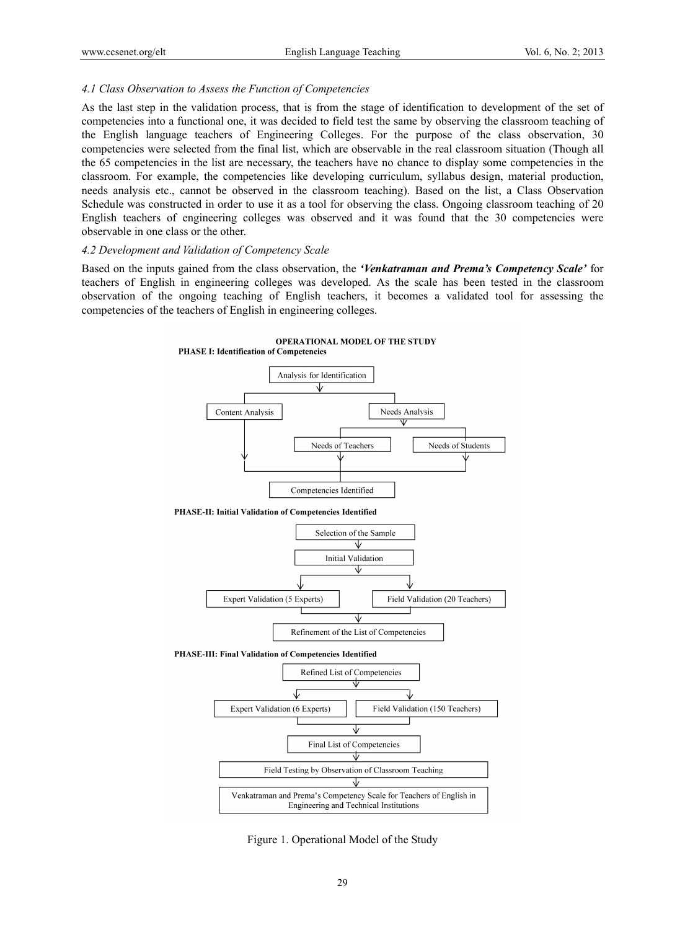#### *4.1 Class Observation to Assess the Function of Competencies*

As the last step in the validation process, that is from the stage of identification to development of the set of competencies into a functional one, it was decided to field test the same by observing the classroom teaching of the English language teachers of Engineering Colleges. For the purpose of the class observation, 30 competencies were selected from the final list, which are observable in the real classroom situation (Though all the 65 competencies in the list are necessary, the teachers have no chance to display some competencies in the classroom. For example, the competencies like developing curriculum, syllabus design, material production, needs analysis etc., cannot be observed in the classroom teaching). Based on the list, a Class Observation Schedule was constructed in order to use it as a tool for observing the class. Ongoing classroom teaching of 20 English teachers of engineering colleges was observed and it was found that the 30 competencies were observable in one class or the other.

#### *4.2 Development and Validation of Competency Scale*

Based on the inputs gained from the class observation, the *'Venkatraman and Prema's Competency Scale'* for teachers of English in engineering colleges was developed. As the scale has been tested in the classroom observation of the ongoing teaching of English teachers, it becomes a validated tool for assessing the competencies of the teachers of English in engineering colleges.



**OPERATIONAL MODEL OF THE STUDY PHASE I: Identification of Competencies** 

Figure 1. Operational Model of the Study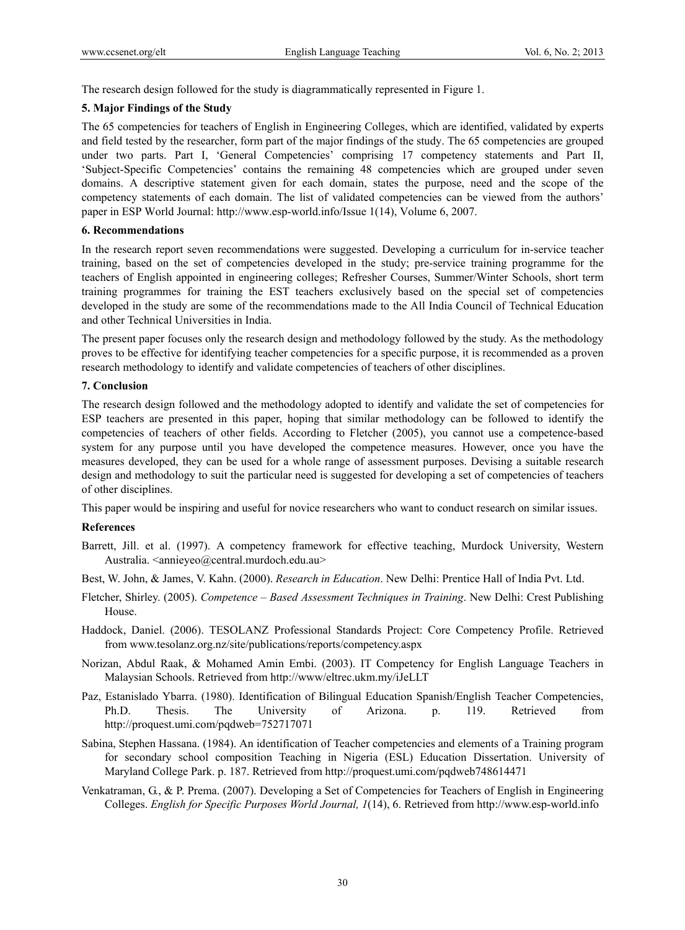The research design followed for the study is diagrammatically represented in Figure 1.

## **5. Major Findings of the Study**

The 65 competencies for teachers of English in Engineering Colleges, which are identified, validated by experts and field tested by the researcher, form part of the major findings of the study. The 65 competencies are grouped under two parts. Part I, 'General Competencies' comprising 17 competency statements and Part II, 'Subject-Specific Competencies' contains the remaining 48 competencies which are grouped under seven domains. A descriptive statement given for each domain, states the purpose, need and the scope of the competency statements of each domain. The list of validated competencies can be viewed from the authors' paper in ESP World Journal: http://www.esp-world.info/Issue 1(14), Volume 6, 2007.

### **6. Recommendations**

In the research report seven recommendations were suggested. Developing a curriculum for in-service teacher training, based on the set of competencies developed in the study; pre-service training programme for the teachers of English appointed in engineering colleges; Refresher Courses, Summer/Winter Schools, short term training programmes for training the EST teachers exclusively based on the special set of competencies developed in the study are some of the recommendations made to the All India Council of Technical Education and other Technical Universities in India.

The present paper focuses only the research design and methodology followed by the study. As the methodology proves to be effective for identifying teacher competencies for a specific purpose, it is recommended as a proven research methodology to identify and validate competencies of teachers of other disciplines.

# **7. Conclusion**

The research design followed and the methodology adopted to identify and validate the set of competencies for ESP teachers are presented in this paper, hoping that similar methodology can be followed to identify the competencies of teachers of other fields. According to Fletcher (2005), you cannot use a competence-based system for any purpose until you have developed the competence measures. However, once you have the measures developed, they can be used for a whole range of assessment purposes. Devising a suitable research design and methodology to suit the particular need is suggested for developing a set of competencies of teachers of other disciplines.

This paper would be inspiring and useful for novice researchers who want to conduct research on similar issues.

#### **References**

- Barrett, Jill. et al. (1997). A competency framework for effective teaching, Murdock University, Western Australia. <annieyeo@central.murdoch.edu.au>
- Best, W. John, & James, V. Kahn. (2000). *Research in Education*. New Delhi: Prentice Hall of India Pvt. Ltd.
- Fletcher, Shirley. (2005). *Competence Based Assessment Techniques in Training*. New Delhi: Crest Publishing House.
- Haddock, Daniel. (2006). TESOLANZ Professional Standards Project: Core Competency Profile. Retrieved from www.tesolanz.org.nz/site/publications/reports/competency.aspx
- Norizan, Abdul Raak, & Mohamed Amin Embi. (2003). IT Competency for English Language Teachers in Malaysian Schools. Retrieved from http://www/eltrec.ukm.my/iJeLLT
- Paz, Estanislado Ybarra. (1980). Identification of Bilingual Education Spanish/English Teacher Competencies, Ph.D. Thesis. The University of Arizona. p. 119. Retrieved from http://proquest.umi.com/pqdweb=752717071
- Sabina, Stephen Hassana. (1984). An identification of Teacher competencies and elements of a Training program for secondary school composition Teaching in Nigeria (ESL) Education Dissertation. University of Maryland College Park. p. 187. Retrieved from http://proquest.umi.com/pqdweb748614471
- Venkatraman, G., & P. Prema. (2007). Developing a Set of Competencies for Teachers of English in Engineering Colleges. *English for Specific Purposes World Journal, 1*(14), 6. Retrieved from http://www.esp-world.info